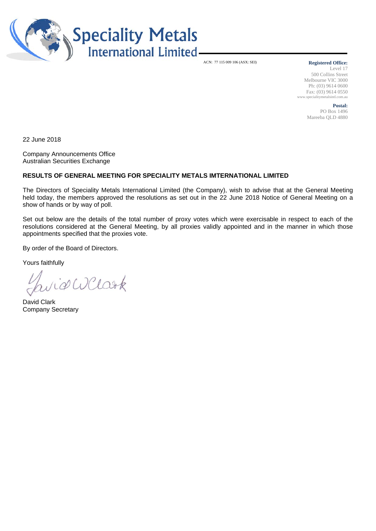

ACN: 77 115 009 106 (ASX: SEI)

#### **Registered Office:**

Level 17 500 Collins Street Melbourne VIC 3000 Ph: (03) 9614 0600 Fax: (03) 9614 0550 www.specialitymetalsintl.com.au

> **Postal:**  PO Box 1496 Mareeba QLD 4880

22 June 2018

Company Announcements Office Australian Securities Exchange

### **RESULTS OF GENERAL MEETING FOR SPECIALITY METALS IMTERNATIONAL LIMITED**

The Directors of Speciality Metals International Limited (the Company), wish to advise that at the General Meeting held today, the members approved the resolutions as set out in the 22 June 2018 Notice of General Meeting on a show of hands or by way of poll.

Set out below are the details of the total number of proxy votes which were exercisable in respect to each of the resolutions considered at the General Meeting, by all proxies validly appointed and in the manner in which those appointments specified that the proxies vote.

By order of the Board of Directors.

Yours faithfully

widWClark

David Clark Company Secretary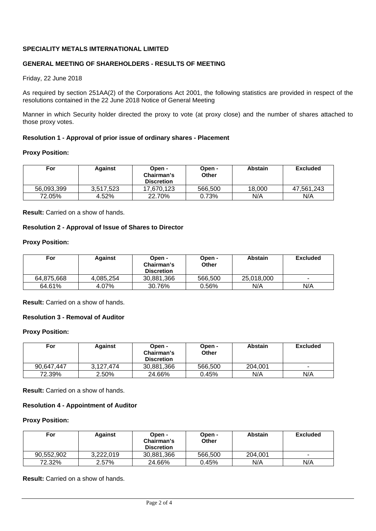# **SPECIALITY METALS IMTERNATIONAL LIMITED**

# **GENERAL MEETING OF SHAREHOLDERS - RESULTS OF MEETING**

### Friday, 22 June 2018

As required by section 251AA(2) of the Corporations Act 2001, the following statistics are provided in respect of the resolutions contained in the 22 June 2018 Notice of General Meeting

Manner in which Security holder directed the proxy to vote (at proxy close) and the number of shares attached to those proxy votes.

### **Resolution 1 - Approval of prior issue of ordinary shares - Placement**

#### **Proxy Position:**

| For        | <b>Against</b> | Open -<br>Chairman's<br><b>Discretion</b> | Open -<br><b>Other</b> | <b>Abstain</b> | <b>Excluded</b> |
|------------|----------------|-------------------------------------------|------------------------|----------------|-----------------|
| 56,093,399 | 3.517.523      | 17.670.123                                | 566,500                | 18.000         | 47.561.243      |
| 72.05%     | 4.52%          | 22.70%                                    | 0.73%                  | N/A            | N/A             |

**Result:** Carried on a show of hands.

### **Resolution 2 - Approval of Issue of Shares to Director**

#### **Proxy Position:**

| For        | <b>Against</b> | Open -<br>Chairman's<br><b>Discretion</b> | Open -<br>Other | <b>Abstain</b> | Excluded                 |
|------------|----------------|-------------------------------------------|-----------------|----------------|--------------------------|
| 64.875.668 | 4.085.254      | 30,881,366                                | 566,500         | 25.018.000     | $\overline{\phantom{a}}$ |
| 64.61%     | 4.07%          | 30.76%                                    | 0.56%           | N/A            | N/A                      |

**Result:** Carried on a show of hands.

# **Resolution 3 - Removal of Auditor**

#### **Proxy Position:**

| For        | <b>Against</b> | Open -<br>Chairman's<br><b>Discretion</b> | Open -<br><b>Other</b> | <b>Abstain</b> | <b>Excluded</b>          |
|------------|----------------|-------------------------------------------|------------------------|----------------|--------------------------|
| 90.647.447 | 3.127.474      | 30,881,366                                | 566,500                | 204.001        | $\overline{\phantom{a}}$ |
| 72.39%     | 2.50%          | 24.66%                                    | 0.45%                  | N/A            | N/A                      |

**Result:** Carried on a show of hands.

# **Resolution 4 - Appointment of Auditor**

### **Proxy Position:**

| For        | <b>Against</b> | Open -<br>Chairman's<br><b>Discretion</b> | Open -<br>Other | <b>Abstain</b> | <b>Excluded</b> |
|------------|----------------|-------------------------------------------|-----------------|----------------|-----------------|
| 90,552,902 | 3.222.019      | 30,881,366                                | 566,500         | 204.001        | ۰               |
| 72.32%     | 2.57%          | 24.66%                                    | 0.45%           | N/A            | N/A             |

**Result:** Carried on a show of hands.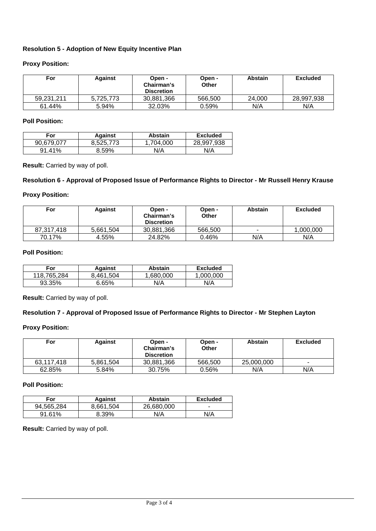# **Resolution 5 - Adoption of New Equity Incentive Plan**

# **Proxy Position:**

| For        | <b>Against</b> | Open -<br>Chairman's<br><b>Discretion</b> | Open -<br>Other | <b>Abstain</b> | <b>Excluded</b> |
|------------|----------------|-------------------------------------------|-----------------|----------------|-----------------|
| 59.231.211 | 5.725.773      | 30,881,366                                | 566,500         | 24,000         | 28,997,938      |
| 61.44%     | 5.94%          | 32.03%                                    | 0.59%           | N/A            | N/A             |

# **Poll Position:**

| For        | <b>Against</b> | <b>Abstain</b> | <b>Excluded</b> |
|------------|----------------|----------------|-----------------|
| 90.679.077 | 8.525.773      | .704.000       | 28.997.938      |
| $91.41\%$  | 8.59%          | N/A            | N/A             |

**Result:** Carried by way of poll.

### **Resolution 6 - Approval of Proposed Issue of Performance Rights to Director - Mr Russell Henry Krause**

# **Proxy Position:**

| For        | Against   | Open -<br>Chairman's<br><b>Discretion</b> | Open -<br>Other | <b>Abstain</b>           | <b>Excluded</b> |
|------------|-----------|-------------------------------------------|-----------------|--------------------------|-----------------|
| 87.317.418 | 5.661.504 | 30,881,366                                | 566,500         | $\overline{\phantom{a}}$ | 1,000,000       |
| 70.17%     | 4.55%     | 24.82%                                    | 0.46%           | N/A                      | N/A             |

# **Poll Position:**

| For         | <b>Against</b> | <b>Abstain</b> | <b>Excluded</b> |
|-------------|----------------|----------------|-----------------|
| 118.765.284 | 8.461.504      | .680.000       | .000.000        |
| 93.35%      | <b>6.65%</b>   | N/A            | N/A             |

**Result:** Carried by way of poll.

### **Resolution 7 - Approval of Proposed Issue of Performance Rights to Director - Mr Stephen Layton**

### **Proxy Position:**

| For        | <b>Against</b> | Open -<br>Chairman's<br><b>Discretion</b> | Open -<br>Other | <b>Abstain</b> | <b>Excluded</b>          |
|------------|----------------|-------------------------------------------|-----------------|----------------|--------------------------|
| 63.117.418 | 5.861.504      | 30.881.366                                | 566,500         | 25,000,000     | $\overline{\phantom{a}}$ |
| 62.85%     | 5.84%          | 30.75%                                    | 0.56%           | N/A            | N/A                      |

# **Poll Position:**

| For        | <b>Against</b> | <b>Abstain</b> | <b>Excluded</b> |
|------------|----------------|----------------|-----------------|
| 94.565.284 | 8.661.504      | 26.680.000     |                 |
| 91.61%     | 8.39%          | N/A            | N/A             |

**Result:** Carried by way of poll.